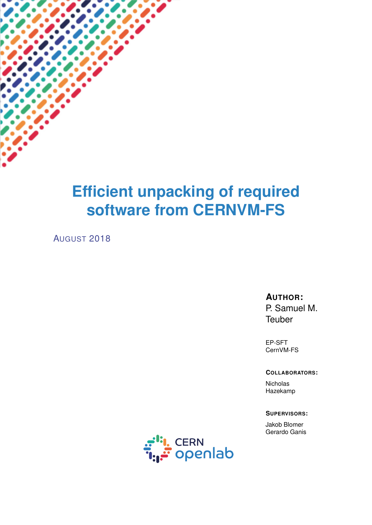# **Efficient unpacking of required software from CERNVM-FS**

AUGUST 2018

#### **AUTHOR:**

P. Samuel M. **Teuber** 

EP-SFT CernVM-FS

#### **COLLABORATORS:**

**Nicholas** Hazekamp

#### **SUPERVISORS:**

Jakob Blomer Gerardo Ganis

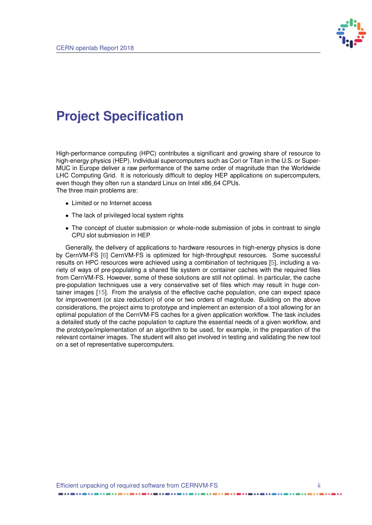

## <span id="page-1-0"></span>**Project Specification**

High-performance computing (HPC) contributes a significant and growing share of resource to high-energy physics (HEP). Individual supercomputers such as Cori or Titan in the U.S. or Super-MUC in Europe deliver a raw performance of the same order of magnitude than the Worldwide LHC Computing Grid. It is notoriously difficult to deploy HEP applications on supercomputers, even though they often run a standard Linux on Intel x86 64 CPUs. The three main problems are:

- Limited or no Internet access
- The lack of privileged local system rights
- The concept of cluster submission or whole-node submission of jobs in contrast to single CPU slot submission in HEP

Generally, the delivery of applications to hardware resources in high-energy physics is done by CernVM-FS [\[6\]](#page-18-0) CernVM-FS is optimized for high-throughput resources. Some successful results on HPC resources were achieved using a combination of techniques [\[5\]](#page-18-1), including a variety of ways of pre-populating a shared file system or container caches with the required files from CernVM-FS. However, some of these solutions are still not optimal. In particular, the cache pre-population techniques use a very conservative set of files which may result in huge container images [\[15\]](#page-19-0). From the analysis of the effective cache population, one can expect space for improvement (or size reduction) of one or two orders of magnitude. Building on the above considerations, the project aims to prototype and implement an extension of a tool allowing for an optimal population of the CernVM-FS caches for a given application workflow. The task includes a detailed study of the cache population to capture the essential needs of a given workflow, and the prototype/implementation of an algorithm to be used, for example, in the preparation of the relevant container images. The student will also get involved in testing and validating the new tool on a set of representative supercomputers.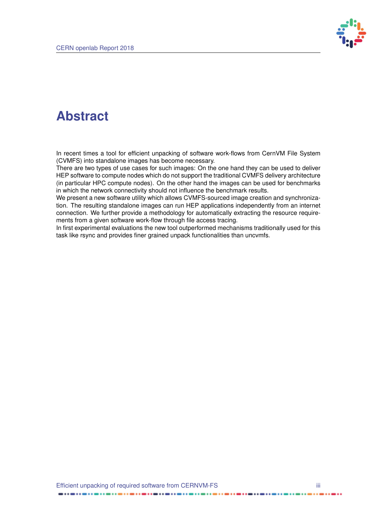

## **Abstract**

In recent times a tool for efficient unpacking of software work-flows from CernVM File System (CVMFS) into standalone images has become necessary.

There are two types of use cases for such images: On the one hand they can be used to deliver HEP software to compute nodes which do not support the traditional CVMFS delivery architecture (in particular HPC compute nodes). On the other hand the images can be used for benchmarks in which the network connectivity should not influence the benchmark results.

We present a new software utility which allows CVMFS-sourced image creation and synchronization. The resulting standalone images can run HEP applications independently from an internet connection. We further provide a methodology for automatically extracting the resource requirements from a given software work-flow through file access tracing.

In first experimental evaluations the new tool outperformed mechanisms traditionally used for this task like rsync and provides finer grained unpack functionalities than uncvmfs.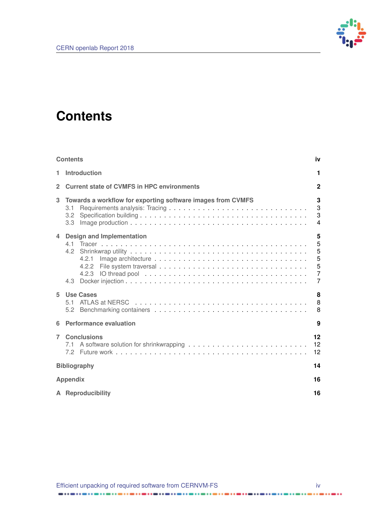

## <span id="page-3-0"></span>**Contents**

|                | <b>Contents</b>                                                                               | iv                                           |
|----------------|-----------------------------------------------------------------------------------------------|----------------------------------------------|
| 1              | <b>Introduction</b>                                                                           | 1                                            |
| $\overline{2}$ | <b>Current state of CVMFS in HPC environments</b>                                             | 2                                            |
| 3              | Towards a workflow for exporting software images from CVMFS<br>3.1<br>3.2<br>3.3 <sub>2</sub> | 3<br>3<br>3<br>$\overline{\mathbf{4}}$       |
| $\overline{4}$ | <b>Design and Implementation</b><br>4.2.1<br>4.2.2<br>4.3                                     | 5<br>5<br>5<br>5<br>5<br>$\overline{7}$<br>7 |
| 5              | <b>Use Cases</b>                                                                              | 8<br>8<br>8                                  |
| 6              | <b>Performance evaluation</b>                                                                 | 9                                            |
| $\overline{7}$ | <b>Conclusions</b>                                                                            | $12 \,$<br>12<br>12                          |
|                | <b>Bibliography</b>                                                                           |                                              |
|                | <b>Appendix</b>                                                                               |                                              |
|                | A Reproducibility                                                                             | 16                                           |

. . . **. . . . . . . . . . . . . . . .** . . . .

----------------

......

.........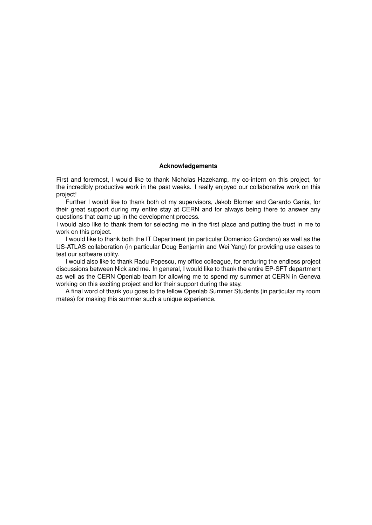#### **Acknowledgements**

First and foremost, I would like to thank Nicholas Hazekamp, my co-intern on this project, for the incredibly productive work in the past weeks. I really enjoyed our collaborative work on this project!

Further I would like to thank both of my supervisors, Jakob Blomer and Gerardo Ganis, for their great support during my entire stay at CERN and for always being there to answer any questions that came up in the development process.

I would also like to thank them for selecting me in the first place and putting the trust in me to work on this project.

I would like to thank both the IT Department (in particular Domenico Giordano) as well as the US-ATLAS collaboration (in particular Doug Benjamin and Wei Yang) for providing use cases to test our software utility.

I would also like to thank Radu Popescu, my office colleague, for enduring the endless project discussions between Nick and me. In general, I would like to thank the entire EP-SFT department as well as the CERN Openlab team for allowing me to spend my summer at CERN in Geneva working on this exciting project and for their support during the stay.

A final word of thank you goes to the fellow Openlab Summer Students (in particular my room mates) for making this summer such a unique experience.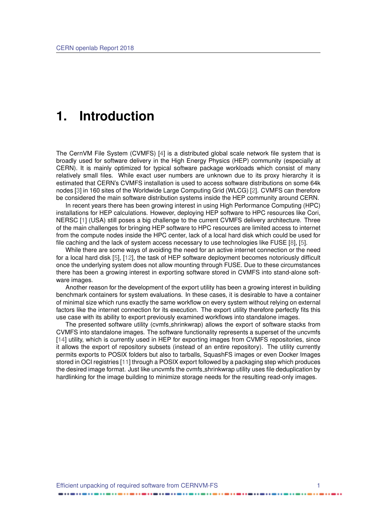### <span id="page-5-1"></span><span id="page-5-0"></span>**1. Introduction**

The CernVM File System (CVMFS) [\[4\]](#page-18-3) is a distributed global scale network file system that is broadly used for software delivery in the High Energy Physics (HEP) community (especially at CERN). It is mainly optimized for typical software package workloads which consist of many relatively small files. While exact user numbers are unknown due to its proxy hierarchy it is estimated that CERN's CVMFS installation is used to access software distributions on some 64k nodes [\[3\]](#page-18-4) in 160 sites of the Worldwide Large Computing Grid (WLCG) [\[2\]](#page-18-5). CVMFS can therefore be considered the main software distribution systems inside the HEP community around CERN.

In recent years there has been growing interest in using High Performance Computing (HPC) installations for HEP calculations. However, deploying HEP software to HPC resources like Cori, NERSC [\[1\]](#page-18-6) (USA) still poses a big challenge to the current CVMFS delivery architecture. Three of the main challenges for bringing HEP software to HPC resources are limited access to internet from the compute nodes inside the HPC center, lack of a local hard disk which could be used for file caching and the lack of system access necessary to use technologies like FUSE [\[8\]](#page-18-7), [\[5\]](#page-18-1).

While there are some ways of avoiding the need for an active internet connection or the need for a local hard disk [\[5\]](#page-18-1), [\[12\]](#page-18-8), the task of HEP software deployment becomes notoriously difficult once the underlying system does not allow mounting through FUSE. Due to these circumstances there has been a growing interest in exporting software stored in CVMFS into stand-alone software images.

Another reason for the development of the export utility has been a growing interest in building benchmark containers for system evaluations. In these cases, it is desirable to have a container of minimal size which runs exactly the same workflow on every system without relying on external factors like the internet connection for its execution. The export utility therefore perfectly fits this use case with its ability to export previously examined workflows into standalone images.

The presented software utility (cvmfs shrinkwrap) allows the export of software stacks from CVMFS into standalone images. The software functionality represents a superset of the uncvmfs [\[14\]](#page-19-1) utility, which is currently used in HEP for exporting images from CVMFS repositories, since it allows the export of repository subsets (instead of an entire repository). The utility currently permits exports to POSIX folders but also to tarballs, SquashFS images or even Docker Images stored in OCI registries [\[11\]](#page-18-9) through a POSIX export followed by a packaging step which produces the desired image format. Just like uncvmfs the cvmfs shrinkwrap utility uses file deduplication by hardlinking for the image building to minimize storage needs for the resulting read-only images.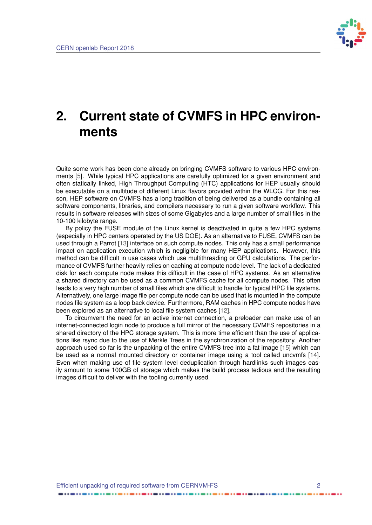

## <span id="page-6-1"></span><span id="page-6-0"></span>**2. Current state of CVMFS in HPC environments**

Quite some work has been done already on bringing CVMFS software to various HPC environments [\[5\]](#page-18-1). While typical HPC applications are carefully optimized for a given environment and often statically linked, High Throughput Computing (HTC) applications for HEP usually should be executable on a multitude of different Linux flavors provided within the WLCG. For this reason, HEP software on CVMFS has a long tradition of being delivered as a bundle containing all software components, libraries, and compilers necessary to run a given software workflow. This results in software releases with sizes of some Gigabytes and a large number of small files in the 10-100 kilobyte range.

By policy the FUSE module of the Linux kernel is deactivated in quite a few HPC systems (especially in HPC centers operated by the US DOE). As an alternative to FUSE, CVMFS can be used through a Parrot [\[13\]](#page-18-10) interface on such compute nodes. This only has a small performance impact on application execution which is negligible for many HEP applications. However, this method can be difficult in use cases which use multithreading or GPU calculations. The performance of CVMFS further heavily relies on caching at compute node level. The lack of a dedicated disk for each compute node makes this difficult in the case of HPC systems. As an alternative a shared directory can be used as a common CVMFS cache for all compute nodes. This often leads to a very high number of small files which are difficult to handle for typical HPC file systems. Alternatively, one large image file per compute node can be used that is mounted in the compute nodes file system as a loop back device. Furthermore, RAM caches in HPC compute nodes have been explored as an alternative to local file system caches [\[12\]](#page-18-8).

To circumvent the need for an active internet connection, a preloader can make use of an internet-connected login node to produce a full mirror of the necessary CVMFS repositories in a shared directory of the HPC storage system. This is more time efficient than the use of applications like rsync due to the use of Merkle Trees in the synchronization of the repository. Another approach used so far is the unpacking of the entire CVMFS tree into a fat image [\[15\]](#page-19-0) which can be used as a normal mounted directory or container image using a tool called uncvmfs [\[14\]](#page-19-1). Even when making use of file system level deduplication through hardlinks such images easily amount to some 100GB of storage which makes the build process tedious and the resulting images difficult to deliver with the tooling currently used.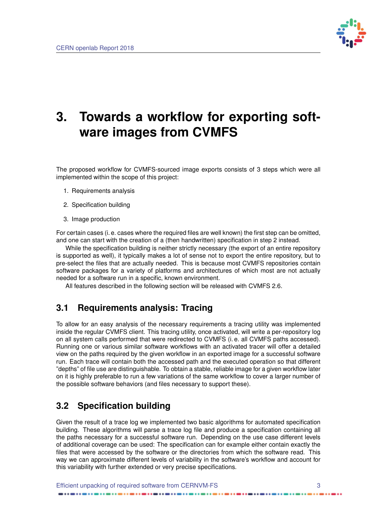

## <span id="page-7-0"></span>**3. Towards a workflow for exporting software images from CVMFS**

The proposed workflow for CVMFS-sourced image exports consists of 3 steps which were all implemented within the scope of this project:

- 1. Requirements analysis
- 2. Specification building
- 3. Image production

For certain cases (i. e. cases where the required files are well known) the first step can be omitted, and one can start with the creation of a (then handwritten) specification in step 2 instead.

While the specification building is neither strictly necessary (the export of an entire repository is supported as well), it typically makes a lot of sense not to export the entire repository, but to pre-select the files that are actually needed. This is because most CVMFS repositories contain software packages for a variety of platforms and architectures of which most are not actually needed for a software run in a specific, known environment.

<span id="page-7-1"></span>All features described in the following section will be released with CVMFS 2.6.

### **3.1 Requirements analysis: Tracing**

To allow for an easy analysis of the necessary requirements a tracing utility was implemented inside the regular CVMFS client. This tracing utility, once activated, will write a per-repository log on all system calls performed that were redirected to CVMFS (i. e. all CVMFS paths accessed). Running one or various similar software workflows with an activated tracer will offer a detailed view on the paths required by the given workflow in an exported image for a successful software run. Each trace will contain both the accessed path and the executed operation so that different "depths" of file use are distinguishable. To obtain a stable, reliable image for a given workflow later on it is highly preferable to run a few variations of the same workflow to cover a larger number of the possible software behaviors (and files necessary to support these).

### <span id="page-7-2"></span>**3.2 Specification building**

<span id="page-7-3"></span>Given the result of a trace log we implemented two basic algorithms for automated specification building. These algorithms will parse a trace log file and produce a specification containing all the paths necessary for a successful software run. Depending on the use case different levels of additional coverage can be used: The specification can for example either contain exactly the files that were accessed by the software or the directories from which the software read. This way we can approximate different levels of variability in the software's workflow and account for this variability with further extended or very precise specifications.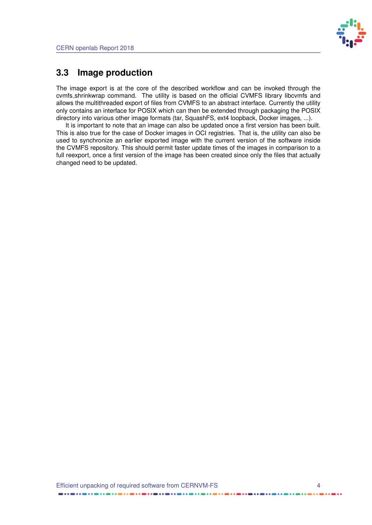

### **3.3 Image production**

The image export is at the core of the described workflow and can be invoked through the cvmfs shrinkwrap command. The utility is based on the official CVMFS library libcvmfs and allows the multithreaded export of files from CVMFS to an abstract interface. Currently the utility only contains an interface for POSIX which can then be extended through packaging the POSIX directory into various other image formats (tar, SquashFS, ext4 loopback, Docker images, ...).

It is important to note that an image can also be updated once a first version has been built. This is also true for the case of Docker images in OCI registries. That is, the utility can also be used to synchronize an earlier exported image with the current version of the software inside the CVMFS repository. This should permit faster update times of the images in comparison to a full reexport, once a first version of the image has been created since only the files that actually changed need to be updated.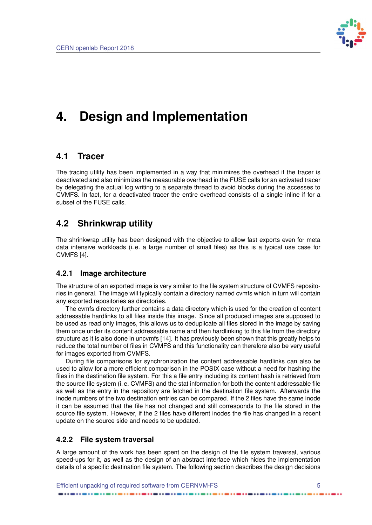

## <span id="page-9-5"></span><span id="page-9-0"></span>**4. Design and Implementation**

### <span id="page-9-1"></span>**4.1 Tracer**

The tracing utility has been implemented in a way that minimizes the overhead if the tracer is deactivated and also minimizes the measurable overhead in the FUSE calls for an activated tracer by delegating the actual log writing to a separate thread to avoid blocks during the accesses to CVMFS. In fact, for a deactivated tracer the entire overhead consists of a single inline if for a subset of the FUSE calls.

### <span id="page-9-2"></span>**4.2 Shrinkwrap utility**

The shrinkwrap utility has been designed with the objective to allow fast exports even for meta data intensive workloads (i. e. a large number of small files) as this is a typical use case for CVMFS [\[4\]](#page-18-3).

#### <span id="page-9-3"></span>**4.2.1 Image architecture**

The structure of an exported image is very similar to the file system structure of CVMFS repositories in general. The image will typically contain a directory named cvmfs which in turn will contain any exported repositories as directories.

The cvmfs directory further contains a data directory which is used for the creation of content addressable hardlinks to all files inside this image. Since all produced images are supposed to be used as read only images, this allows us to deduplicate all files stored in the image by saving them once under its content addressable name and then hardlinking to this file from the directory structure as it is also done in uncvmfs [\[14\]](#page-19-1). It has previously been shown that this greatly helps to reduce the total number of files in CVMFS and this functionality can therefore also be very useful for images exported from CVMFS.

During file comparisons for synchronization the content addressable hardlinks can also be used to allow for a more efficient comparison in the POSIX case without a need for hashing the files in the destination file system. For this a file entry including its content hash is retrieved from the source file system (i. e. CVMFS) and the stat information for both the content addressable file as well as the entry in the repository are fetched in the destination file system. Afterwards the inode numbers of the two destination entries can be compared. If the 2 files have the same inode it can be assumed that the file has not changed and still corresponds to the file stored in the source file system. However, if the 2 files have different inodes the file has changed in a recent update on the source side and needs to be updated.

#### <span id="page-9-4"></span>**4.2.2 File system traversal**

A large amount of the work has been spent on the design of the file system traversal, various speed-ups for it, as well as the design of an abstract interface which hides the implementation details of a specific destination file system. The following section describes the design decisions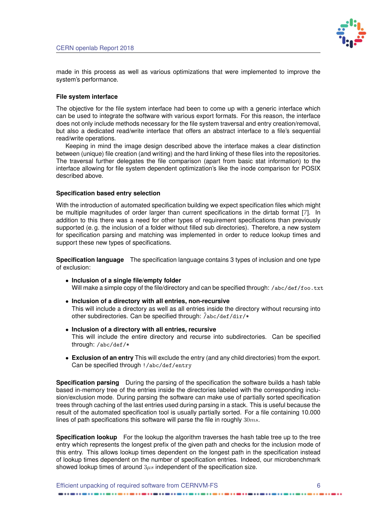

<span id="page-10-0"></span>made in this process as well as various optimizations that were implemented to improve the system's performance.

#### **File system interface**

The objective for the file system interface had been to come up with a generic interface which can be used to integrate the software with various export formats. For this reason, the interface does not only include methods necessary for the file system traversal and entry creation/removal, but also a dedicated read/write interface that offers an abstract interface to a file's sequential read/write operations.

Keeping in mind the image design described above the interface makes a clear distinction between (unique) file creation (and writing) and the hard linking of these files into the repositories. The traversal further delegates the file comparison (apart from basic stat information) to the interface allowing for file system dependent optimization's like the inode comparison for POSIX described above.

#### **Specification based entry selection**

With the introduction of automated specification building we expect specification files which might be multiple magnitudes of order larger than current specifications in the dirtab format [\[7\]](#page-18-11). In addition to this there was a need for other types of requirement specifications than previously supported (e.g. the inclusion of a folder without filled sub directories). Therefore, a new system for specification parsing and matching was implemented in order to reduce lookup times and support these new types of specifications.

**Specification language** The specification language contains 3 types of inclusion and one type of exclusion:

- **Inclusion of a single file/empty folder** Will make a simple copy of the file/directory and can be specified through: /abc/def/foo.txt
- **Inclusion of a directory with all entries, non-recursive** This will include a directory as well as all entries inside the directory without recursing into other subdirectories. Can be specified through:  $\hat{a}$ bc/def/dir/\*
- **Inclusion of a directory with all entries, recursive** This will include the entire directory and recurse into subdirectories. Can be specified through: /abc/def/\*
- **Exclusion of an entry** This will exclude the entry (and any child directories) from the export. Can be specified through !/abc/def/entry

**Specification parsing** During the parsing of the specification the software builds a hash table based in-memory tree of the entries inside the directories labeled with the corresponding inclusion/exclusion mode. During parsing the software can make use of partially sorted specification trees through caching of the last entries used during parsing in a stack. This is useful because the result of the automated specification tool is usually partially sorted. For a file containing 10.000 lines of path specifications this software will parse the file in roughly  $30ms$ .

**Specification lookup** For the lookup the algorithm traverses the hash table tree up to the tree entry which represents the longest prefix of the given path and checks for the inclusion mode of this entry. This allows lookup times dependent on the longest path in the specification instead of lookup times dependent on the number of specification entries. Indeed, our microbenchmark showed lookup times of around  $3\mu s$  independent of the specification size.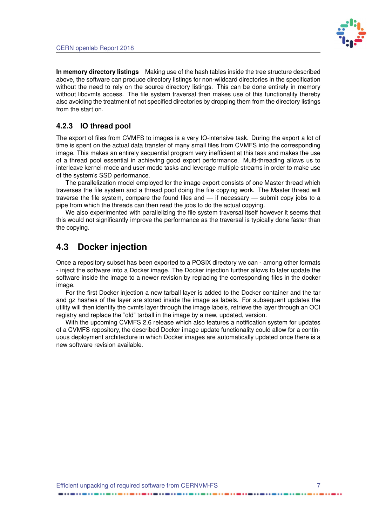

**In memory directory listings** Making use of the hash tables inside the tree structure described above, the software can produce directory listings for non-wildcard directories in the specification without the need to rely on the source directory listings. This can be done entirely in memory without libcvmfs access. The file system traversal then makes use of this functionality thereby also avoiding the treatment of not specified directories by dropping them from the directory listings from the start on.

#### <span id="page-11-0"></span>**4.2.3 IO thread pool**

The export of files from CVMFS to images is a very IO-intensive task. During the export a lot of time is spent on the actual data transfer of many small files from CVMFS into the corresponding image. This makes an entirely sequential program very inefficient at this task and makes the use of a thread pool essential in achieving good export performance. Multi-threading allows us to interleave kernel-mode and user-mode tasks and leverage multiple streams in order to make use of the system's SSD performance.

The parallelization model employed for the image export consists of one Master thread which traverses the file system and a thread pool doing the file copying work. The Master thread will traverse the file system, compare the found files and — if necessary — submit copy jobs to a pipe from which the threads can then read the jobs to do the actual copying.

We also experimented with parallelizing the file system traversal itself however it seems that this would not significantly improve the performance as the traversal is typically done faster than the copying.

### <span id="page-11-1"></span>**4.3 Docker injection**

Once a repository subset has been exported to a POSIX directory we can - among other formats - inject the software into a Docker image. The Docker injection further allows to later update the software inside the image to a newer revision by replacing the corresponding files in the docker image.

For the first Docker injection a new tarball layer is added to the Docker container and the tar and gz hashes of the layer are stored inside the image as labels. For subsequent updates the utility will then identify the cvmfs layer through the image labels, retrieve the layer through an OCI registry and replace the "old" tarball in the image by a new, updated, version.

With the upcoming CVMFS 2.6 release which also features a notification system for updates of a CVMFS repository, the described Docker image update functionality could allow for a continuous deployment architecture in which Docker images are automatically updated once there is a new software revision available.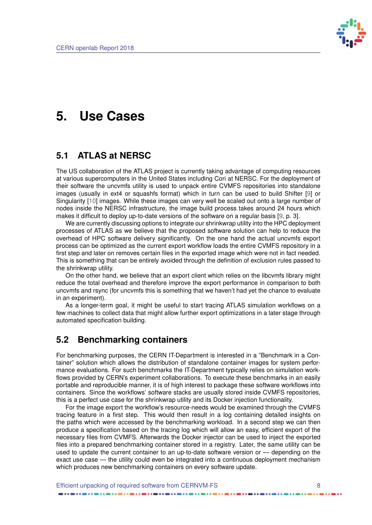

## <span id="page-12-3"></span><span id="page-12-0"></span>**5. Use Cases**

### <span id="page-12-1"></span>**5.1 ATLAS at NERSC**

The US collaboration of the ATLAS project is currently taking advantage of computing resources at various supercomputers in the United States including Cori at NERSC. For the deployment of their software the uncvmfs utility is used to unpack entire CVMFS repositories into standalone images (usually in ext4 or squashfs format) which in turn can be used to build Shifter [\[9\]](#page-18-12) or Singularity [\[10\]](#page-18-13) images. While these images can very well be scaled out onto a large number of nodes inside the NERSC infrastructure, the image build process takes around 24 hours which makes it difficult to deploy up-to-date versions of the software on a regular basis [\[9,](#page-18-12) p. 3].

We are currently discussing options to integrate our shrinkwrap utility into the HPC deployment processes of ATLAS as we believe that the proposed software solution can help to reduce the overhead of HPC software delivery significantly. On the one hand the actual uncvmfs export process can be optimized as the current export workflow loads the entire CVMFS repository in a first step and later on removes certain files in the exported image which were not in fact needed. This is something that can be entirely avoided through the definition of exclusion rules passed to the shrinkwrap utility.

On the other hand, we believe that an export client which relies on the libcvmfs library might reduce the total overhead and therefore improve the export performance in comparison to both uncvmfs and rsync (for uncvmfs this is something that we haven't had yet the chance to evaluate in an experiment).

As a longer-term goal, it might be useful to start tracing ATLAS simulation workflows on a few machines to collect data that might allow further export optimizations in a later stage through automated specification building.

### <span id="page-12-2"></span>**5.2 Benchmarking containers**

For benchmarking purposes, the CERN IT-Department is interested in a "Benchmark in a Container" solution which allows the distribution of standalone container images for system performance evaluations. For such benchmarks the IT-Department typically relies on simulation workflows provided by CERN's experiment collaborations. To execute these benchmarks in an easily portable and reproducible manner, it is of high interest to package these software workflows into containers. Since the workflows' software stacks are usually stored inside CVMFS repositories, this is a perfect use case for the shrinkwrap utility and its Docker injection functionality.

For the image export the workflow's resource-needs would be examined through the CVMFS tracing feature in a first step. This would then result in a log containing detailed insights on the paths which were accessed by the benchmarking workload. In a second step we can then produce a specification based on the tracing log which will allow an easy, efficient export of the necessary files from CVMFS. Afterwards the Docker injector can be used to inject the exported files into a prepared benchmarking container stored in a registry. Later, the same utility can be used to update the current container to an up-to-date software version or — depending on the exact use case — the utility could even be integrated into a continuous deployment mechanism which produces new benchmarking containers on every software update.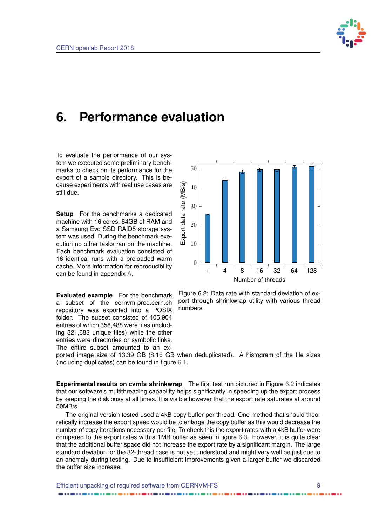

## <span id="page-13-0"></span>**6. Performance evaluation**

To evaluate the performance of our system we executed some preliminary benchmarks to check on its performance for the export of a sample directory. This is because experiments with real use cases are still due.

**Setup** For the benchmarks a dedicated machine with 16 cores, 64GB of RAM and a Samsung Evo SSD RAID5 storage system was used. During the benchmark execution no other tasks ran on the machine. Each benchmark evaluation consisted of 16 identical runs with a preloaded warm cache. More information for reproducibility can be found in appendix [A.](#page-20-0)

**Evaluated example** For the benchmark a subset of the cernvm-prod.cern.ch repository was exported into a POSIX folder. The subset consisted of 405,904 entries of which 358,488 were files (including 321,683 unique files) while the other entries were directories or symbolic links. The entire subset amounted to an ex-

<span id="page-13-1"></span>

Figure 6.2: Data rate with standard deviation of export through shrinkwrap utility with various thread numbers

ported image size of 13.39 GB (8.16 GB when deduplicated). A histogram of the file sizes (including duplicates) can be found in figure [6.1.](#page-14-0)

**Experimental results on cvmfs shrinkwrap** The first test run pictured in Figure [6.2](#page-13-1) indicates that our software's multithreading capability helps significantly in speeding up the export process by keeping the disk busy at all times. It is visible however that the export rate saturates at around 50MB/s.

The original version tested used a 4kB copy buffer per thread. One method that should theoretically increase the export speed would be to enlarge the copy buffer as this would decrease the number of copy iterations necessary per file. To check this the export rates with a 4kB buffer were compared to the export rates with a 1MB buffer as seen in figure [6.3.](#page-14-1) However, it is quite clear that the additional buffer space did not increase the export rate by a significant margin. The large standard deviation for the 32-thread case is not yet understood and might very well be just due to an anomaly during testing. Due to insufficient improvements given a larger buffer we discarded the buffer size increase.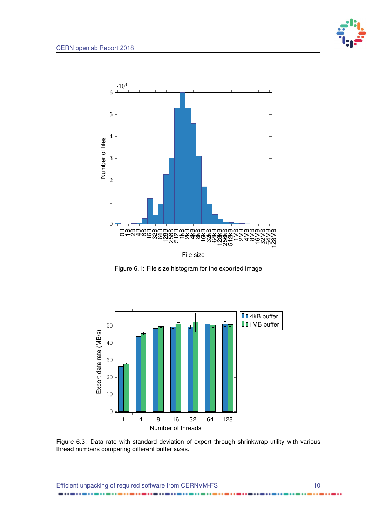..

<span id="page-14-0"></span>

Figure 6.1: File size histogram for the exported image

<span id="page-14-1"></span>

Figure 6.3: Data rate with standard deviation of export through shrinkwrap utility with various thread numbers comparing different buffer sizes.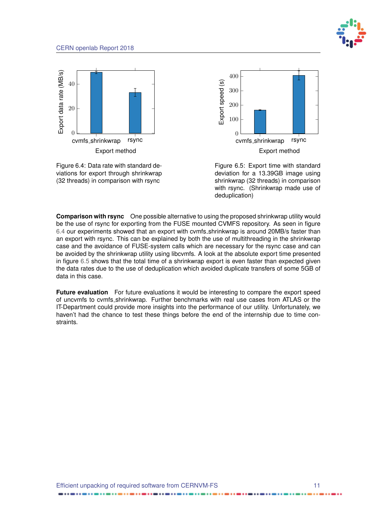

<span id="page-15-0"></span>





Figure 6.5: Export time with standard deviation for a 13.39GB image using shrinkwrap (32 threads) in comparison with rsync. (Shrinkwrap made use of deduplication)

**Comparison with rsync** One possible alternative to using the proposed shrinkwrap utility would be the use of rsync for exporting from the FUSE mounted CVMFS repository. As seen in figure [6.4](#page-15-0) our experiments showed that an export with cvmfs shrinkwrap is around 20MB/s faster than an export with rsync. This can be explained by both the use of multithreading in the shrinkwrap case and the avoidance of FUSE-system calls which are necessary for the rsync case and can be avoided by the shrinkwrap utility using libcvmfs. A look at the absolute export time presented in figure [6.5](#page-15-0) shows that the total time of a shrinkwrap export is even faster than expected given the data rates due to the use of deduplication which avoided duplicate transfers of some 5GB of data in this case.

**Future evaluation** For future evaluations it would be interesting to compare the export speed of uncvmfs to cvmfs shrinkwrap. Further benchmarks with real use cases from ATLAS or the IT-Department could provide more insights into the performance of our utility. Unfortunately, we haven't had the chance to test these things before the end of the internship due to time constraints.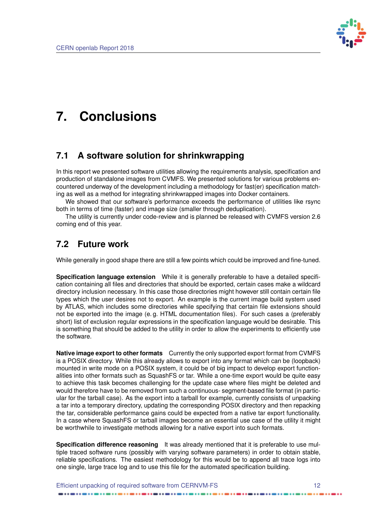

## <span id="page-16-0"></span>**7. Conclusions**

### <span id="page-16-1"></span>**7.1 A software solution for shrinkwrapping**

In this report we presented software utilities allowing the requirements analysis, specification and production of standalone images from CVMFS. We presented solutions for various problems encountered underway of the development including a methodology for fast(er) specification matching as well as a method for integrating shrinkwrapped images into Docker containers.

We showed that our software's performance exceeds the performance of utilities like rsync both in terms of time (faster) and image size (smaller through deduplication).

The utility is currently under code-review and is planned be released with CVMFS version 2.6 coming end of this year.

### <span id="page-16-2"></span>**7.2 Future work**

While generally in good shape there are still a few points which could be improved and fine-tuned.

**Specification language extension** While it is generally preferable to have a detailed specification containing all files and directories that should be exported, certain cases make a wildcard directory inclusion necessary. In this case those directories might however still contain certain file types which the user desires not to export. An example is the current image build system used by ATLAS, which includes some directories while specifying that certain file extensions should not be exported into the image (e. g. HTML documentation files). For such cases a (preferably short) list of exclusion regular expressions in the specification language would be desirable. This is something that should be added to the utility in order to allow the experiments to efficiently use the software.

**Native image export to other formats** Currently the only supported export format from CVMFS is a POSIX directory. While this already allows to export into any format which can be (loopback) mounted in write mode on a POSIX system, it could be of big impact to develop export functionalities into other formats such as SquashFS or tar. While a one-time export would be quite easy to achieve this task becomes challenging for the update case where files might be deleted and would therefore have to be removed from such a continuous- segment-based file format (in particular for the tarball case). As the export into a tarball for example, currently consists of unpacking a tar into a temporary directory, updating the corresponding POSIX directory and then repacking the tar, considerable performance gains could be expected from a native tar export functionality. In a case where SquashFS or tarball images become an essential use case of the utility it might be worthwhile to investigate methods allowing for a native export into such formats.

**Specification difference reasoning** It was already mentioned that it is preferable to use multiple traced software runs (possibly with varying software parameters) in order to obtain stable, reliable specifications. The easiest methodology for this would be to append all trace logs into one single, large trace log and to use this file for the automated specification building.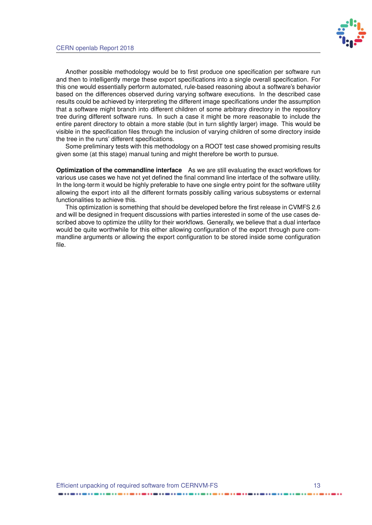

Another possible methodology would be to first produce one specification per software run and then to intelligently merge these export specifications into a single overall specification. For this one would essentially perform automated, rule-based reasoning about a software's behavior based on the differences observed during varying software executions. In the described case results could be achieved by interpreting the different image specifications under the assumption that a software might branch into different children of some arbitrary directory in the repository tree during different software runs. In such a case it might be more reasonable to include the entire parent directory to obtain a more stable (but in turn slightly larger) image. This would be visible in the specification files through the inclusion of varying children of some directory inside the tree in the runs' different specifications.

Some preliminary tests with this methodology on a ROOT test case showed promising results given some (at this stage) manual tuning and might therefore be worth to pursue.

**Optimization of the commandline interface** As we are still evaluating the exact workflows for various use cases we have not yet defined the final command line interface of the software utility. In the long-term it would be highly preferable to have one single entry point for the software utility allowing the export into all the different formats possibly calling various subsystems or external functionalities to achieve this.

This optimization is something that should be developed before the first release in CVMFS 2.6 and will be designed in frequent discussions with parties interested in some of the use cases described above to optimize the utility for their workflows. Generally, we believe that a dual interface would be quite worthwhile for this either allowing configuration of the export through pure commandline arguments or allowing the export configuration to be stored inside some configuration file.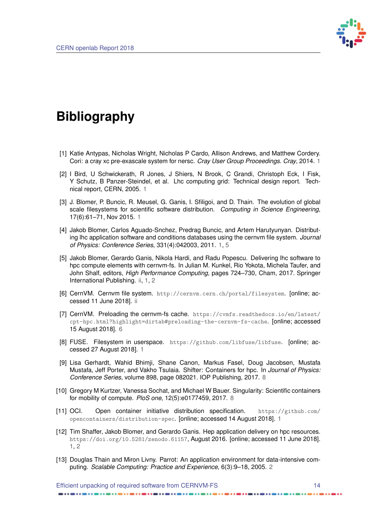

## <span id="page-18-2"></span>**Bibliography**

- <span id="page-18-6"></span>[1] Katie Antypas, Nicholas Wright, Nicholas P Cardo, Allison Andrews, and Matthew Cordery. Cori: a cray xc pre-exascale system for nersc. *Cray User Group Proceedings. Cray*, 2014. [1](#page-5-1)
- <span id="page-18-5"></span>[2] I Bird, U Schwickerath, R Jones, J Shiers, N Brook, C Grandi, Christoph Eck, I Fisk, Y Schutz, B Panzer-Steindel, et al. Lhc computing grid: Technical design report. Technical report, CERN, 2005. [1](#page-5-1)
- <span id="page-18-4"></span>[3] J. Blomer, P. Buncic, R. Meusel, G. Ganis, I. Sfiligoi, and D. Thain. The evolution of global scale filesystems for scientific software distribution. *Computing in Science Engineering*, 17(6):61–71, Nov 2015. [1](#page-5-1)
- <span id="page-18-3"></span>[4] Jakob Blomer, Carlos Aguado-Snchez, Predrag Buncic, and Artem Harutyunyan. Distributing lhc application software and conditions databases using the cernvm file system. *Journal of Physics: Conference Series*, 331(4):042003, 2011. [1,](#page-5-1) [5](#page-9-5)
- <span id="page-18-1"></span>[5] Jakob Blomer, Gerardo Ganis, Nikola Hardi, and Radu Popescu. Delivering lhc software to hpc compute elements with cernvm-fs. In Julian M. Kunkel, Rio Yokota, Michela Taufer, and John Shalf, editors, *High Performance Computing*, pages 724–730, Cham, 2017. Springer International Publishing. [ii,](#page-1-0) [1,](#page-5-1) [2](#page-6-1)
- <span id="page-18-0"></span>[6] CernVM. Cernvm file system. <http://cernvm.cern.ch/portal/filesystem>. [online; accessed 11 June 2018]. [ii](#page-1-0)
- <span id="page-18-11"></span>[7] CernVM. Preloading the cernvm-fs cache. [https://cvmfs.readthedocs.io/en/latest/](https://cvmfs.readthedocs.io/en/latest/cpt-hpc.html?highlight=dirtab#preloading-the-cernvm-fs-cache) [cpt-hpc.html?highlight=dirtab#preloading-the-cernvm-fs-cache](https://cvmfs.readthedocs.io/en/latest/cpt-hpc.html?highlight=dirtab#preloading-the-cernvm-fs-cache). [online; accessed 15 August 2018]. [6](#page-10-0)
- <span id="page-18-7"></span>[8] FUSE. Filesystem in userspace. <https://github.com/libfuse/libfuse>. [online; accessed 27 August 2018]. [1](#page-5-1)
- <span id="page-18-12"></span>[9] Lisa Gerhardt, Wahid Bhimji, Shane Canon, Markus Fasel, Doug Jacobsen, Mustafa Mustafa, Jeff Porter, and Vakho Tsulaia. Shifter: Containers for hpc. In *Journal of Physics: Conference Series*, volume 898, page 082021. IOP Publishing, 2017. [8](#page-12-3)
- <span id="page-18-13"></span>[10] Gregory M Kurtzer, Vanessa Sochat, and Michael W Bauer. Singularity: Scientific containers for mobility of compute. *PloS one*, 12(5):e0177459, 2017. [8](#page-12-3)
- <span id="page-18-9"></span>[11] OCI. Open container initiative distribution specification. [https://github.com/](https://github.com/opencontainers/distribution-spec) [opencontainers/distribution-spec](https://github.com/opencontainers/distribution-spec). [online; accessed 14 August 2018]. [1](#page-5-1)
- <span id="page-18-8"></span>[12] Tim Shaffer, Jakob Blomer, and Gerardo Ganis. Hep application delivery on hpc resources. <https://doi.org/10.5281/zenodo.61157>, August 2016. [online; accessed 11 June 2018]. [1,](#page-5-1) [2](#page-6-1)
- <span id="page-18-10"></span>[13] Douglas Thain and Miron Livny. Parrot: An application environment for data-intensive computing. *Scalable Computing: Practice and Experience*, 6(3):9–18, 2005. [2](#page-6-1)

Efficient unpacking of required software from CERNVM-FS 14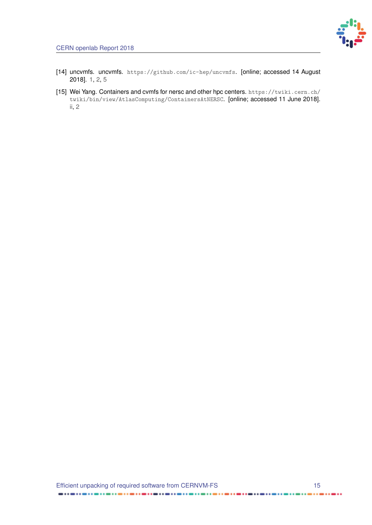

- <span id="page-19-1"></span>[14] uncvmfs. uncvmfs. <https://github.com/ic-hep/uncvmfs>. [online; accessed 14 August 2018]. [1,](#page-5-1) [2,](#page-6-1) [5](#page-9-5)
- <span id="page-19-0"></span>[15] Wei Yang. Containers and cvmfs for nersc and other hpc centers. [https://twiki.cern.ch/](https://twiki.cern.ch/twiki/bin/view/AtlasComputing/ContainersAtNERSC) [twiki/bin/view/AtlasComputing/ContainersAtNERSC](https://twiki.cern.ch/twiki/bin/view/AtlasComputing/ContainersAtNERSC). [online; accessed 11 June 2018]. [ii,](#page-1-0) [2](#page-6-1)

 $\blacksquare$ 

......

 $\cdots$